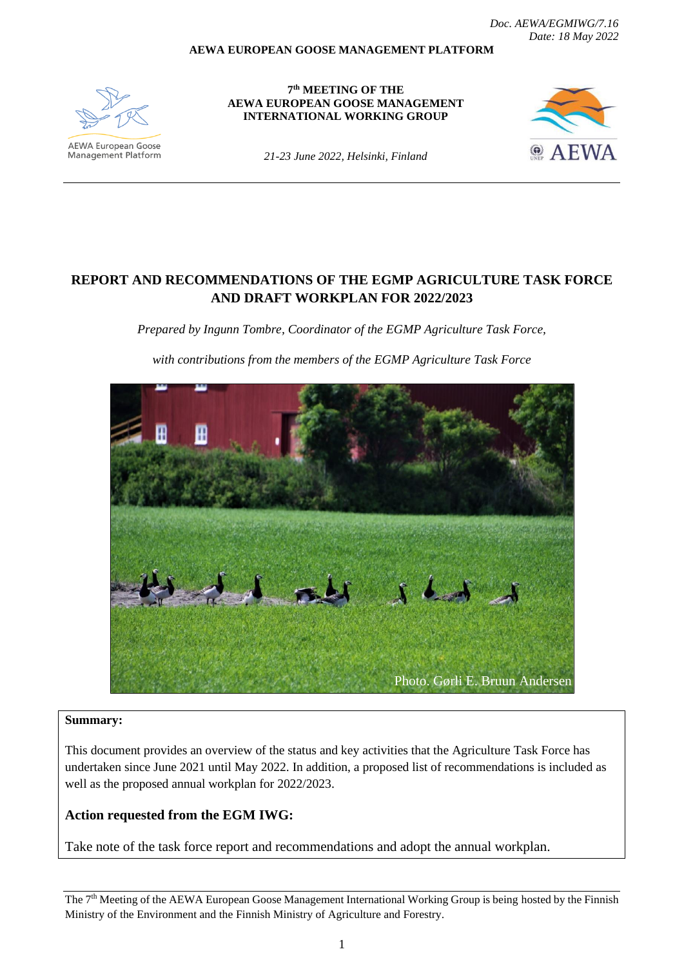*Doc. AEWA/EGMIWG/7.16 Date: 18 May 2022*

#### **AEWA EUROPEAN GOOSE MANAGEMENT PLATFORM**



Management Platform

**7 th MEETING OF THE AEWA EUROPEAN GOOSE MANAGEMENT INTERNATIONAL WORKING GROUP**



*21-23 June 2022, Helsinki, Finland*

# **REPORT AND RECOMMENDATIONS OF THE EGMP AGRICULTURE TASK FORCE AND DRAFT WORKPLAN FOR 2022/2023**

*Prepared by Ingunn Tombre, Coordinator of the EGMP Agriculture Task Force,* 

*with contributions from the members of the EGMP Agriculture Task Force*



#### **Summary:**

This document provides an overview of the status and key activities that the Agriculture Task Force has undertaken since June 2021 until May 2022. In addition, a proposed list of recommendations is included as well as the proposed annual workplan for 2022/2023.

## **Action requested from the EGM IWG:**

Take note of the task force report and recommendations and adopt the annual workplan.

The 7<sup>th</sup> Meeting of the AEWA European Goose Management International Working Group is being hosted by the Finnish Ministry of the Environment and the Finnish Ministry of Agriculture and Forestry.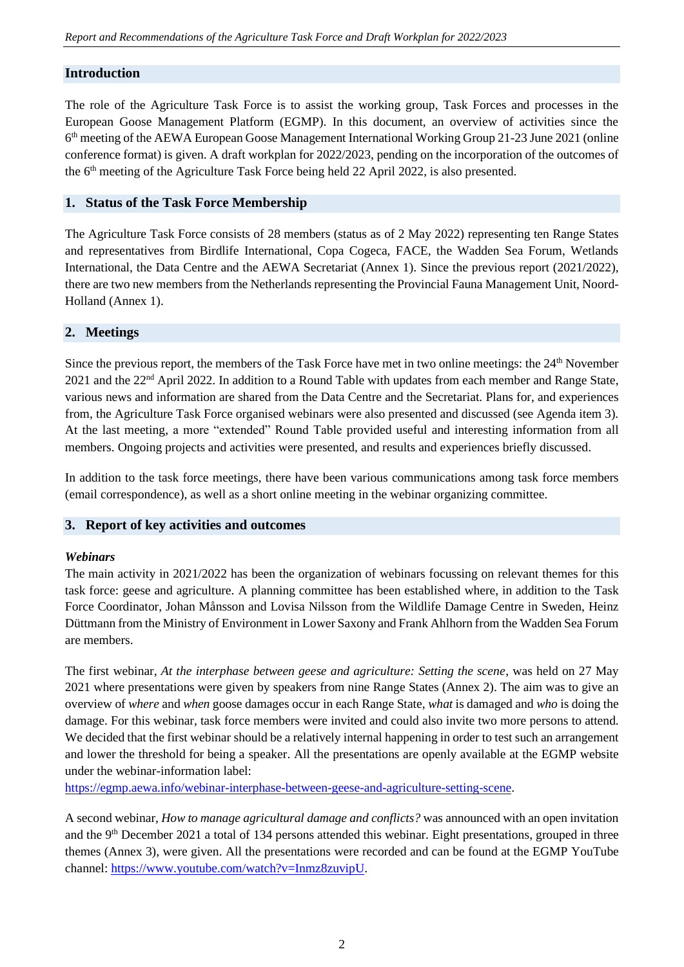## **Introduction**

The role of the Agriculture Task Force is to assist the working group, Task Forces and processes in the European Goose Management Platform (EGMP). In this document, an overview of activities since the 6<sup>th</sup> meeting of the AEWA European Goose Management International Working Group 21-23 June 2021 (online conference format) is given. A draft workplan for 2022/2023, pending on the incorporation of the outcomes of the 6<sup>th</sup> meeting of the Agriculture Task Force being held 22 April 2022, is also presented.

## **1. Status of the Task Force Membership**

The Agriculture Task Force consists of 28 members (status as of 2 May 2022) representing ten Range States and representatives from Birdlife International, Copa Cogeca, FACE, the Wadden Sea Forum, Wetlands International, the Data Centre and the AEWA Secretariat (Annex 1). Since the previous report (2021/2022), there are two new members from the Netherlands representing the Provincial Fauna Management Unit, Noord-Holland (Annex 1).

## **2. Meetings**

Since the previous report, the members of the Task Force have met in two online meetings: the 24<sup>th</sup> November 2021 and the 22nd April 2022. In addition to a Round Table with updates from each member and Range State, various news and information are shared from the Data Centre and the Secretariat. Plans for, and experiences from, the Agriculture Task Force organised webinars were also presented and discussed (see Agenda item 3). At the last meeting, a more "extended" Round Table provided useful and interesting information from all members. Ongoing projects and activities were presented, and results and experiences briefly discussed.

In addition to the task force meetings, there have been various communications among task force members (email correspondence), as well as a short online meeting in the webinar organizing committee.

### **3. Report of key activities and outcomes**

### *Webinars*

The main activity in 2021/2022 has been the organization of webinars focussing on relevant themes for this task force: geese and agriculture. A planning committee has been established where, in addition to the Task Force Coordinator, Johan Månsson and Lovisa Nilsson from the Wildlife Damage Centre in Sweden, Heinz Düttmann from the Ministry of Environment in Lower Saxony and Frank Ahlhorn from the Wadden Sea Forum are members.

The first webinar, *At the interphase between geese and agriculture: Setting the scene*, was held on 27 May 2021 where presentations were given by speakers from nine Range States (Annex 2). The aim was to give an overview of *where* and *when* goose damages occur in each Range State, *what* is damaged and *who* is doing the damage. For this webinar, task force members were invited and could also invite two more persons to attend. We decided that the first webinar should be a relatively internal happening in order to test such an arrangement and lower the threshold for being a speaker. All the presentations are openly available at the EGMP website under the webinar-information label:

[https://egmp.aewa.info/webinar-interphase-between-geese-and-agriculture-setting-scene.](https://egmp.aewa.info/webinar-interphase-between-geese-and-agriculture-setting-scene)

A second webinar, *How to manage agricultural damage and conflicts?* was announced with an open invitation and the 9<sup>th</sup> December 2021 a total of 134 persons attended this webinar. Eight presentations, grouped in three themes (Annex 3), were given. All the presentations were recorded and can be found at the EGMP YouTube channel[: https://www.youtube.com/watch?v=Inmz8zuvipU.](https://www.youtube.com/watch?v=Inmz8zuvipU)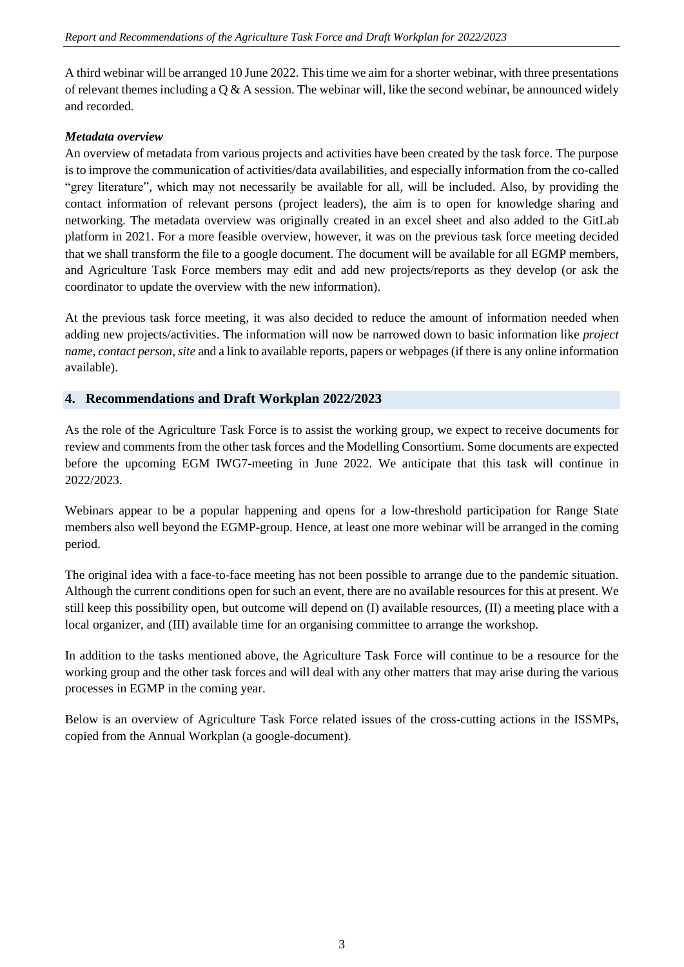A third webinar will be arranged 10 June 2022. This time we aim for a shorter webinar, with three presentations of relevant themes including a  $\dot{Q}$  & A session. The webinar will, like the second webinar, be announced widely and recorded.

#### *Metadata overview*

An overview of metadata from various projects and activities have been created by the task force. The purpose is to improve the communication of activities/data availabilities, and especially information from the co-called "grey literature", which may not necessarily be available for all, will be included. Also, by providing the contact information of relevant persons (project leaders), the aim is to open for knowledge sharing and networking. The metadata overview was originally created in an excel sheet and also added to the GitLab platform in 2021. For a more feasible overview, however, it was on the previous task force meeting decided that we shall transform the file to a google document. The document will be available for all EGMP members, and Agriculture Task Force members may edit and add new projects/reports as they develop (or ask the coordinator to update the overview with the new information).

At the previous task force meeting, it was also decided to reduce the amount of information needed when adding new projects/activities. The information will now be narrowed down to basic information like *project name*, *contact person*, *site* and a link to available reports, papers or webpages(if there is any online information available).

### **4. Recommendations and Draft Workplan 2022/2023**

As the role of the Agriculture Task Force is to assist the working group, we expect to receive documents for review and comments from the other task forces and the Modelling Consortium. Some documents are expected before the upcoming EGM IWG7-meeting in June 2022. We anticipate that this task will continue in 2022/2023.

Webinars appear to be a popular happening and opens for a low-threshold participation for Range State members also well beyond the EGMP-group. Hence, at least one more webinar will be arranged in the coming period.

The original idea with a face-to-face meeting has not been possible to arrange due to the pandemic situation. Although the current conditions open for such an event, there are no available resources for this at present. We still keep this possibility open, but outcome will depend on (I) available resources, (II) a meeting place with a local organizer, and (III) available time for an organising committee to arrange the workshop.

In addition to the tasks mentioned above, the Agriculture Task Force will continue to be a resource for the working group and the other task forces and will deal with any other matters that may arise during the various processes in EGMP in the coming year.

Below is an overview of Agriculture Task Force related issues of the cross-cutting actions in the ISSMPs, copied from the Annual Workplan (a google-document).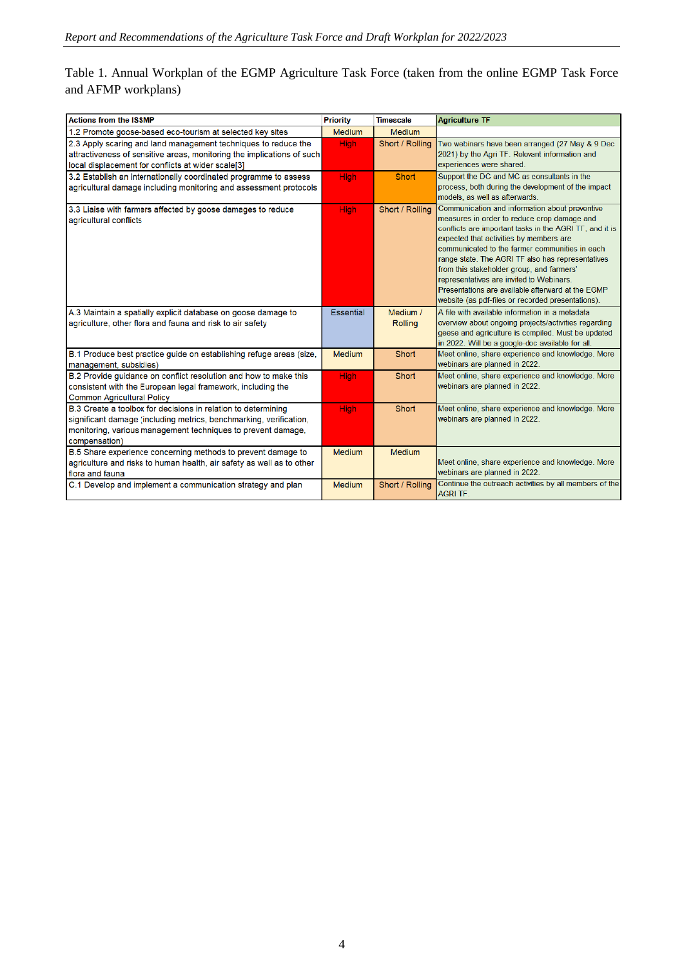# Table 1. Annual Workplan of the EGMP Agriculture Task Force (taken from the online EGMP Task Force and AFMP workplans)

| <b>Actions from the ISSMP</b>                                                                                                                                                                                        | <b>Priority</b>  | <b>Timescale</b> | <b>Agriculture TF</b>                                                                                                                                                                                                                                                                                                                                                                                                                                                                                         |  |  |  |  |
|----------------------------------------------------------------------------------------------------------------------------------------------------------------------------------------------------------------------|------------------|------------------|---------------------------------------------------------------------------------------------------------------------------------------------------------------------------------------------------------------------------------------------------------------------------------------------------------------------------------------------------------------------------------------------------------------------------------------------------------------------------------------------------------------|--|--|--|--|
| 1.2 Promote goose-based eco-tourism at selected key sites                                                                                                                                                            | <b>Medium</b>    | <b>Medium</b>    |                                                                                                                                                                                                                                                                                                                                                                                                                                                                                                               |  |  |  |  |
| 2.3 Apply scaring and land management techniques to reduce the<br>attractiveness of sensitive areas, monitoring the implications of such                                                                             | <b>High</b>      | Short / Rolling  | Two webinars have been arranged (27 May & 9 Dec<br>2021) by the Agri TF. Relevant information and                                                                                                                                                                                                                                                                                                                                                                                                             |  |  |  |  |
| local displacement for conflicts at wider scale[3]                                                                                                                                                                   |                  |                  | experiences were shared.                                                                                                                                                                                                                                                                                                                                                                                                                                                                                      |  |  |  |  |
| 3.2 Establish an internationally coordinated programme to assess<br>agricultural damage including monitoring and assessment protocols                                                                                | <b>High</b>      | Short            | Support the DC and MC as consultants in the<br>process, both during the development of the impact<br>models, as well as afterwards.                                                                                                                                                                                                                                                                                                                                                                           |  |  |  |  |
| 3.3 Liaise with farmers affected by goose damages to reduce<br>agricultural conflicts                                                                                                                                | <b>High</b>      | Short / Rolling  | Communication and information about preventive<br>measures in order to reduce crop damage and<br>conflicts are important tasks in the AGRI TF, and it is<br>expected that activities by members are<br>communicated to the farmer communities in each<br>range state. The AGRI TF also has representatives<br>from this stakeholder group, and farmers'<br>representatives are invited to Webinars.<br>Presentations are available afterward at the EGMP<br>website (as pdf-files or recorded presentations). |  |  |  |  |
| A.3 Maintain a spatially explicit database on goose damage to                                                                                                                                                        | <b>Essential</b> | Medium /         | A file with available information in a metadata                                                                                                                                                                                                                                                                                                                                                                                                                                                               |  |  |  |  |
| agriculture, other flora and fauna and risk to air safety                                                                                                                                                            |                  | <b>Rolling</b>   | overview about ongoing projects/activities regarding<br>geese and agriculture is compiled. Must be updated<br>in 2022. Will be a google-doc available for all.                                                                                                                                                                                                                                                                                                                                                |  |  |  |  |
| B.1 Produce best practice guide on establishing refuge areas (size,<br>management, subsidies)                                                                                                                        | <b>Medium</b>    | Short            | Meet online, share experience and knowledge. More<br>webinars are planned in 2022.                                                                                                                                                                                                                                                                                                                                                                                                                            |  |  |  |  |
| B.2 Provide guidance on conflict resolution and how to make this<br>consistent with the European legal framework, including the<br><b>Common Agricultural Policy</b>                                                 | <b>High</b>      | Short            | Meet online, share experience and knowledge. More<br>webinars are planned in 2022.                                                                                                                                                                                                                                                                                                                                                                                                                            |  |  |  |  |
| B.3 Create a toolbox for decisions in relation to determining<br>significant damage (including metrics, benchmarking, verification,<br>monitoring, various management techniques to prevent damage,<br>compensation) | <b>High</b>      | Short            | Meet online, share experience and knowledge. More<br>webinars are planned in 2022.                                                                                                                                                                                                                                                                                                                                                                                                                            |  |  |  |  |
| B.5 Share experience concerning methods to prevent damage to<br>agriculture and risks to human health, air safety as well as to other<br>flora and fauna                                                             | <b>Medium</b>    | <b>Medium</b>    | Meet online, share experience and knowledge. More<br>webinars are planned in 2022.                                                                                                                                                                                                                                                                                                                                                                                                                            |  |  |  |  |
| C.1 Develop and implement a communication strategy and plan                                                                                                                                                          | <b>Medium</b>    | Short / Rolling  | Continue the outreach activities by all members of the<br><b>AGRI TF.</b>                                                                                                                                                                                                                                                                                                                                                                                                                                     |  |  |  |  |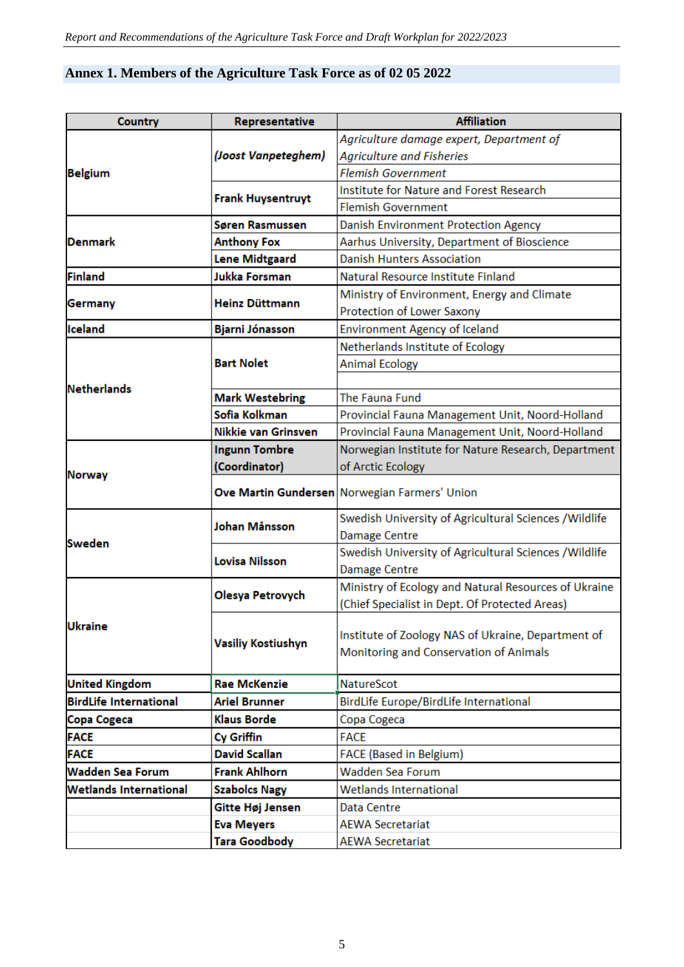# **Annex 1. Members of the Agriculture Task Force as of 02 05 2022**

| <b>Country</b>                | Representative                        | <b>Affiliation</b>                                     |
|-------------------------------|---------------------------------------|--------------------------------------------------------|
|                               |                                       | Agriculture damage expert, Department of               |
|                               | (Joost Vanpeteghem)                   | <b>Agriculture and Fisheries</b>                       |
| <b>Belgium</b>                |                                       | <b>Flemish Government</b>                              |
|                               | <b>Frank Huysentruyt</b>              | Institute for Nature and Forest Research               |
|                               |                                       | <b>Flemish Government</b>                              |
|                               | Søren Rasmussen                       | Danish Environment Protection Agency                   |
| Denmark                       | <b>Anthony Fox</b>                    | Aarhus University, Department of Bioscience            |
|                               | <b>Lene Midtgaard</b>                 | <b>Danish Hunters Association</b>                      |
| <b>Finland</b>                | Jukka Forsman                         | Natural Resource Institute Finland                     |
| Germany                       | Heinz Düttmann                        | Ministry of Environment, Energy and Climate            |
|                               |                                       | Protection of Lower Saxony                             |
| Iceland                       | Bjarni Jónasson                       | Environment Agency of Iceland                          |
|                               |                                       | Netherlands Institute of Ecology                       |
|                               | <b>Bart Nolet</b>                     | <b>Animal Ecology</b>                                  |
| <b>Netherlands</b>            |                                       |                                                        |
|                               | <b>Mark Westebring</b>                | The Fauna Fund                                         |
|                               | Sofia Kolkman                         | Provincial Fauna Management Unit, Noord-Holland        |
|                               | Nikkie van Grinsven                   | Provincial Fauna Management Unit, Noord-Holland        |
|                               | <b>Ingunn Tombre</b>                  | Norwegian Institute for Nature Research, Department    |
| <b>Norway</b>                 | (Coordinator)                         | of Arctic Ecology                                      |
|                               |                                       | Ove Martin Gundersen Norwegian Farmers' Union          |
|                               |                                       | Swedish University of Agricultural Sciences / Wildlife |
| Sweden                        | Johan Månsson<br><b>Damage Centre</b> |                                                        |
|                               | Lovisa Nilsson                        | Swedish University of Agricultural Sciences / Wildlife |
|                               |                                       | Damage Centre                                          |
|                               | Olesya Petrovych                      | Ministry of Ecology and Natural Resources of Ukraine   |
|                               |                                       | (Chief Specialist in Dept. Of Protected Areas)         |
| <b>Ukraine</b>                | <b>Vasiliy Kostiushyn</b>             |                                                        |
|                               |                                       | Institute of Zoology NAS of Ukraine, Department of     |
|                               |                                       | Monitoring and Conservation of Animals                 |
| <b>United Kingdom</b>         | <b>Rae McKenzie</b>                   | <b>NatureScot</b>                                      |
| <b>BirdLife International</b> | <b>Ariel Brunner</b>                  | BirdLife Europe/BirdLife International                 |
| <b>Copa Cogeca</b>            | Klaus Borde                           | Copa Cogeca                                            |
| <b>FACE</b>                   | Cy Griffin                            | <b>FACE</b>                                            |
| <b>FACE</b>                   | <b>David Scallan</b>                  | <b>FACE (Based in Belgium)</b>                         |
| <b>Wadden Sea Forum</b>       | <b>Frank Ahlhorn</b>                  | Wadden Sea Forum                                       |
| <b>Wetlands International</b> | <b>Szabolcs Nagy</b>                  | Wetlands International                                 |
|                               | Gitte Høj Jensen                      | Data Centre                                            |
|                               | <b>Eva Meyers</b>                     | <b>AEWA Secretariat</b>                                |
|                               | <b>Tara Goodbody</b>                  | <b>AEWA Secretariat</b>                                |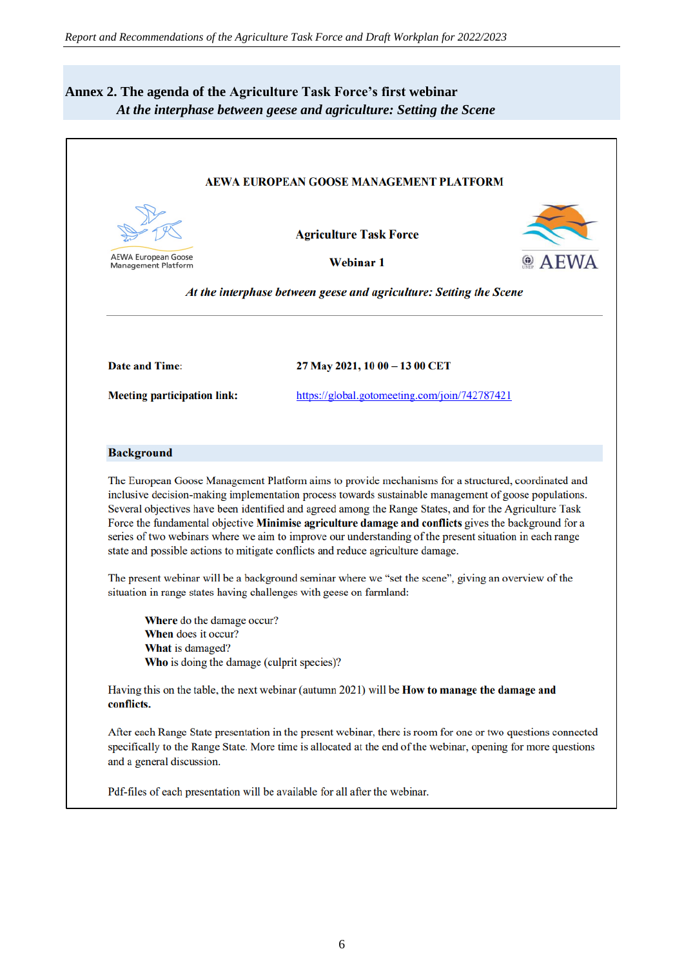# **Annex 2. The agenda of the Agriculture Task Force's first webinar**  *At the interphase between geese and agriculture: Setting the Scene*

|                                                                              | <b>AEWA EUROPEAN GOOSE MANAGEMENT PLATFORM</b>                                                                                                                                                                                                                                                                                                                                                                |  |  |  |  |  |  |
|------------------------------------------------------------------------------|---------------------------------------------------------------------------------------------------------------------------------------------------------------------------------------------------------------------------------------------------------------------------------------------------------------------------------------------------------------------------------------------------------------|--|--|--|--|--|--|
|                                                                              | <b>Agriculture Task Force</b>                                                                                                                                                                                                                                                                                                                                                                                 |  |  |  |  |  |  |
| <b>AEWA European Goose</b><br><b>Management Platform</b>                     | <b>Webinar 1</b>                                                                                                                                                                                                                                                                                                                                                                                              |  |  |  |  |  |  |
|                                                                              | At the interphase between geese and agriculture: Setting the Scene                                                                                                                                                                                                                                                                                                                                            |  |  |  |  |  |  |
| Date and Time:                                                               | 27 May 2021, 10 00 - 13 00 CET                                                                                                                                                                                                                                                                                                                                                                                |  |  |  |  |  |  |
| <b>Meeting participation link:</b>                                           | https://global.gotomeeting.com/join/742787421                                                                                                                                                                                                                                                                                                                                                                 |  |  |  |  |  |  |
| <b>Background</b>                                                            |                                                                                                                                                                                                                                                                                                                                                                                                               |  |  |  |  |  |  |
|                                                                              | The European Goose Management Platform aims to provide mechanisms for a structured, coordinated and<br>inclusive decision-making implementation process towards sustainable management of goose populations.                                                                                                                                                                                                  |  |  |  |  |  |  |
|                                                                              | Several objectives have been identified and agreed among the Range States, and for the Agriculture Task<br>Force the fundamental objective Minimise agriculture damage and conflicts gives the background for a<br>series of two webinars where we aim to improve our understanding of the present situation in each range<br>state and possible actions to mitigate conflicts and reduce agriculture damage. |  |  |  |  |  |  |
| situation in range states having challenges with geese on farmland:          | The present webinar will be a background seminar where we "set the scene", giving an overview of the                                                                                                                                                                                                                                                                                                          |  |  |  |  |  |  |
| <b>Where</b> do the damage occur?<br>When does it occur?<br>What is damaged? |                                                                                                                                                                                                                                                                                                                                                                                                               |  |  |  |  |  |  |
| Who is doing the damage (culprit species)?<br>conflicts.                     | Having this on the table, the next webinar (autumn 2021) will be <b>How to manage the damage and</b>                                                                                                                                                                                                                                                                                                          |  |  |  |  |  |  |
| and a general discussion.                                                    | After each Range State presentation in the present webinar, there is room for one or two questions connected<br>specifically to the Range State. More time is allocated at the end of the webinar, opening for more questions                                                                                                                                                                                 |  |  |  |  |  |  |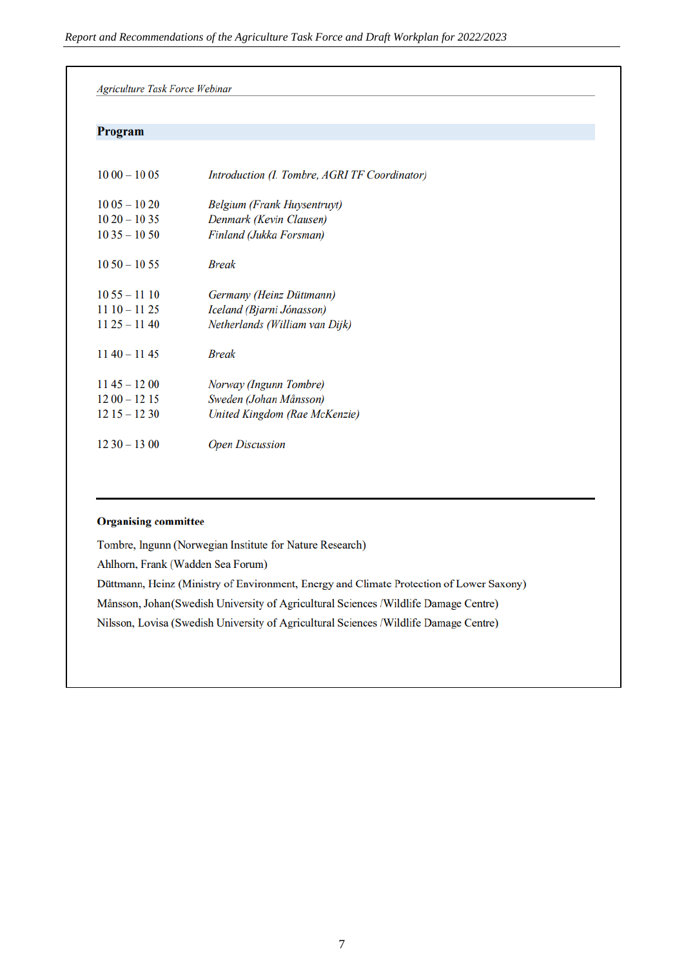| Program       |                                               |  |
|---------------|-----------------------------------------------|--|
| $1000 - 1005$ | Introduction (I. Tombre, AGRI TF Coordinator) |  |
| $1005 - 1020$ | Belgium (Frank Huysentruyt)                   |  |
| $1020 - 1035$ | Denmark (Kevin Clausen)                       |  |
| $1035 - 1050$ | Finland (Jukka Forsman)                       |  |
| $1050 - 1055$ | <b>Break</b>                                  |  |
| $1055 - 1110$ | Germany (Heinz Düttmann)                      |  |
| $1110 - 1125$ | Iceland (Bjarni Jónasson)                     |  |
| $1125 - 1140$ | Netherlands (William van Dijk)                |  |
| $1140 - 1145$ | <b>Break</b>                                  |  |
| $1145 - 1200$ | Norway (Ingunn Tombre)                        |  |
| $1200 - 1215$ | Sweden (Johan Månsson)                        |  |
| $1215 - 1230$ | United Kingdom (Rae McKenzie)                 |  |
| $1230 - 1300$ | <b>Open Discussion</b>                        |  |

#### **Organising committee**

Tombre, Ingunn (Norwegian Institute for Nature Research) Ahlhorn, Frank (Wadden Sea Forum) Düttmann, Heinz (Ministry of Environment, Energy and Climate Protection of Lower Saxony) Månsson, Johan (Swedish University of Agricultural Sciences /Wildlife Damage Centre) Nilsson, Lovisa (Swedish University of Agricultural Sciences /Wildlife Damage Centre)